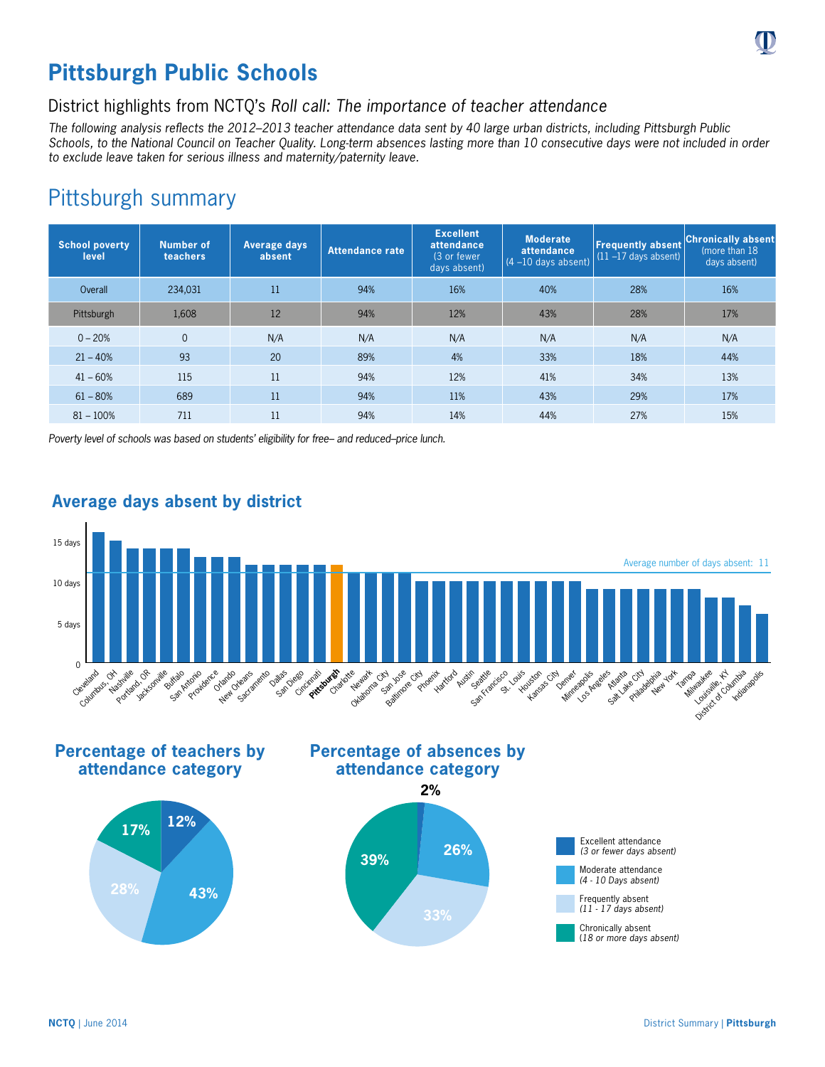# **Pittsburgh Public Schools**

## District highlights from NCTQ's *Roll call: The importance of teacher attendance*

*The following analysis reflects the 2012–2013 teacher attendance data sent by 40 large urban districts, including Pittsburgh Public Schools, to the National Council on Teacher Quality. Long-term absences lasting more than 10 consecutive days were not included in order to exclude leave taken for serious illness and maternity/paternity leave.*

## Pittsburgh summary

| <b>School poverty</b><br>level | <b>Number of</b><br>teachers | Average days<br>absent | Attendance rate | <b>Excellent</b><br>attendance<br>(3 or fewer<br>days absent) | <b>Moderate</b><br>attendance<br>$(4 - 10$ days absent) | <b>Frequently absent</b><br>$(11 - 17$ days absent) | <b>Chronically absent</b><br>(more than 18)<br>days absent) |
|--------------------------------|------------------------------|------------------------|-----------------|---------------------------------------------------------------|---------------------------------------------------------|-----------------------------------------------------|-------------------------------------------------------------|
| Overall                        | 234,031                      | 11                     | 94%             | 16%                                                           | 40%                                                     | 28%                                                 | 16%                                                         |
| Pittsburgh                     | 1,608                        | 12                     | 94%             | 12%                                                           | 43%                                                     | 28%                                                 | 17%                                                         |
| $0 - 20%$                      | $\overline{0}$               | N/A                    | N/A             | N/A                                                           | N/A                                                     | N/A                                                 | N/A                                                         |
| $21 - 40%$                     | 93                           | 20                     | 89%             | 4%                                                            | 33%                                                     | 18%                                                 | 44%                                                         |
| $41 - 60%$                     | 115                          | 11                     | 94%             | 12%                                                           | 41%                                                     | 34%                                                 | 13%                                                         |
| $61 - 80%$                     | 689                          | 11                     | 94%             | 11%                                                           | 43%                                                     | 29%                                                 | 17%                                                         |
| $81 - 100%$                    | 711                          | 11                     | 94%             | 14%                                                           | 44%                                                     | 27%                                                 | 15%                                                         |

*Poverty level of schools was based on students' eligibility for free– and reduced–price lunch.*



### **Average days absent by district**

**Percentage of teachers by attendance category**